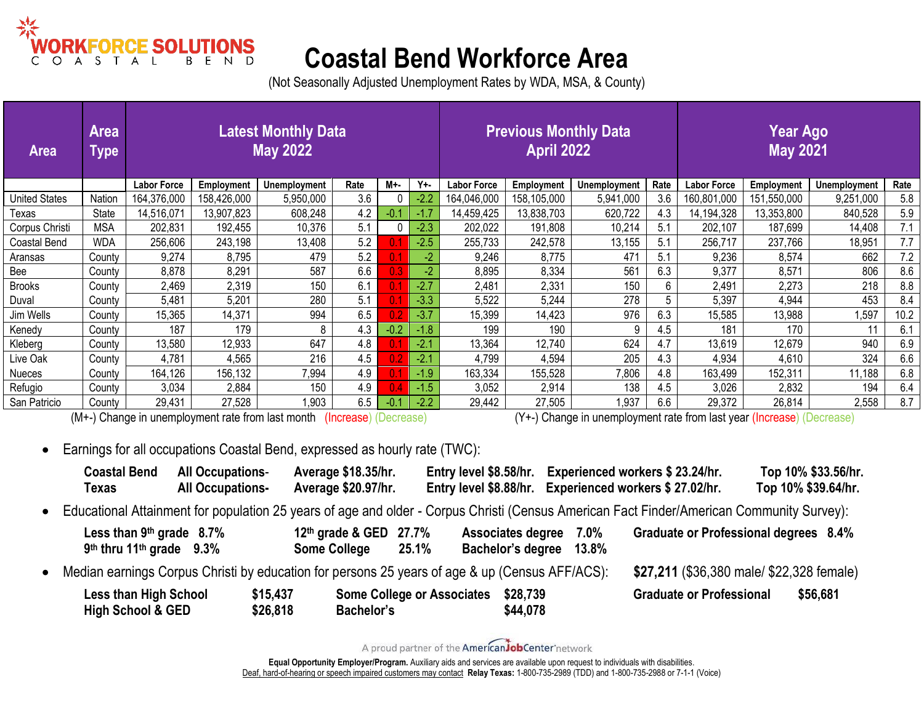

## **Coastal Bend Workforce Area**

(Not Seasonally Adjusted Unemployment Rates by WDA, MSA, & County)

| <b>Area</b>          | <b>Area</b><br><b>Type</b> | <b>Latest Monthly Data</b><br><b>May 2022</b> |                                                                                                                                                      |              |      |        |         | <b>Previous Monthly Data</b><br><b>April 2022</b> |             |                     |      | <b>Year Ago</b><br><b>May 2021</b> |             |              |      |  |  |
|----------------------|----------------------------|-----------------------------------------------|------------------------------------------------------------------------------------------------------------------------------------------------------|--------------|------|--------|---------|---------------------------------------------------|-------------|---------------------|------|------------------------------------|-------------|--------------|------|--|--|
|                      |                            | <b>Labor Force</b>                            | <b>Employment</b>                                                                                                                                    | Unemployment | Rate | M+-    | $Y + -$ | <b>Labor Force</b>                                | Employment  | <b>Unemployment</b> | Rate | Labor Force                        | Employment  | Unemployment | Rate |  |  |
| <b>United States</b> | Nation                     | 164,376,000                                   | 158,426,000                                                                                                                                          | 5,950,000    | 3.6  |        | $-2.2$  | 164,046,000                                       | 158,105,000 | 5,941,000           | 3.6  | 160,801,000                        | 151,550,000 | 9,251,000    | 5.8  |  |  |
| Texas                | State                      | 14,516,071                                    | 13,907,823                                                                                                                                           | 608,248      | 4.2  | -0.    | $-1.7$  | 14,459,425                                        | 13,838,703  | 620,722             | 4.3  | 14,194,328                         | 13,353,800  | 840,528      | 5.9  |  |  |
| Corpus Christi       | <b>MSA</b>                 | 202,831                                       | 192,455                                                                                                                                              | 10,376       | 5.1  |        | $-2.3$  | 202,022                                           | 191,808     | 10,214              | 5.1  | 202,107                            | 187,699     | 14,408       | 7.1  |  |  |
| <b>Coastal Bend</b>  | <b>WDA</b>                 | 256,606                                       | 243,198                                                                                                                                              | 13,408       | 5.2  |        | $-2.5$  | 255,733                                           | 242,578     | 13,155              | 5.1  | 256,717                            | 237,766     | 18,951       | 7.7  |  |  |
| Aransas              | County                     | 9,274                                         | 8,795                                                                                                                                                | 479          | 5.2  |        | -2      | 9,246                                             | 8,775       | 471                 | 5.1  | 9,236                              | 8,574       | 662          | 7.2  |  |  |
| Bee                  | County                     | 8,878                                         | 8,291                                                                                                                                                | 587          | 6.6  | 0.3    | -2      | 8,895                                             | 8,334       | 561                 | 6.3  | 9,377                              | 8,571       | 806          | 8.6  |  |  |
| <b>Brooks</b>        | County                     | 2,469                                         | 2,319                                                                                                                                                | 150          | 6.1  |        | $-2.7$  | 2,481                                             | 2,331       | 150                 | 6    | 2,491                              | 2,273       | 218          | 8.8  |  |  |
| Duval                | County                     | 5,481                                         | 5,201                                                                                                                                                | 280          | 5.1  |        | $-3.3$  | 5,522                                             | 5,244       | 278                 | 5    | 5,397                              | 4,944       | 453          | 8.4  |  |  |
| Jim Wells            | County                     | 15,365                                        | 14,371                                                                                                                                               | 994          | 6.5  |        | $-3.7$  | 15,399                                            | 14,423      | 976                 | 6.3  | 15,585                             | 13,988      | 1,597        | 10.2 |  |  |
| Kenedy               | County                     | 187                                           | 179                                                                                                                                                  | 8            | 4.3  | $-0.2$ | $-1.8$  | 199                                               | 190         | 9                   | 4.5  | 181                                | 170         | 11           | 6.1  |  |  |
| Kleberg              | County                     | 13,580                                        | 12,933                                                                                                                                               | 647          | 4.8  |        | $-2.1$  | 13,364                                            | 12,740      | 624                 | 4.7  | 13,619                             | 12,679      | 940          | 6.9  |  |  |
| Live Oak             | County                     | 4,781                                         | 4,565                                                                                                                                                | 216          | 4.5  |        | $-2.1$  | 4,799                                             | 4,594       | 205                 | 4.3  | 4,934                              | 4,610       | 324          | 6.6  |  |  |
| <b>Nueces</b>        | County                     | 164,126                                       | 156,132                                                                                                                                              | 7,994        | 4.9  |        | $-1.9$  | 163,334                                           | 155,528     | 7,806               | 4.8  | 163,499                            | 152,311     | 11,188       | 6.8  |  |  |
| Refugio              | County                     | 3,034                                         | 2,884                                                                                                                                                | 150          | 4.9  |        | $-1.5$  | 3,052                                             | 2,914       | 138                 | 4.5  | 3,026                              | 2,832       | 194          | 6.4  |  |  |
| San Patricio         | County                     | 29,431                                        | 27,528                                                                                                                                               | 1,903        | 6.5  |        | $-2.2$  | 29,442                                            | 27,505      | 1,937               | 6.6  | 29,372                             | 26,814      | 2,558        | 8.7  |  |  |
|                      |                            |                                               | (M+-) Change in unemployment rate from last month<br>(Y+-) Change in unemployment rate from last year (Increase) (Decrease)<br>(Increase) (Decrease) |              |      |        |         |                                                   |             |                     |      |                                    |             |              |      |  |  |

• Earnings for all occupations Coastal Bend, expressed as hourly rate (TWC):

| <b>Coastal Bend</b><br>Texas                                       | <b>All Occupations-</b><br><b>All Occupations-</b> | Average \$18.35/hr.<br>Average \$20.97/hr.    |                                   | Entry level \$8.58/hr. Experienced workers \$23.24/hr.<br>Entry level \$8.88/hr. Experienced workers \$27.02/hr. |                                                                                                                                             | Top 10% \$33.56/hr.<br>Top 10% \$39.64/hr. |
|--------------------------------------------------------------------|----------------------------------------------------|-----------------------------------------------|-----------------------------------|------------------------------------------------------------------------------------------------------------------|---------------------------------------------------------------------------------------------------------------------------------------------|--------------------------------------------|
|                                                                    |                                                    |                                               |                                   |                                                                                                                  | • Educational Attainment for population 25 years of age and older - Corpus Christi (Census American Fact Finder/American Community Survey): |                                            |
| Less than 9th grade 8.7%<br>$9th$ thru 11 <sup>th</sup> grade 9.3% |                                                    | 12th grade & GED 27.7%<br><b>Some College</b> | 25.1%                             | Associates degree<br>7.0%<br>Bachelor's degree<br>13.8%                                                          | Graduate or Professional degrees 8.4%                                                                                                       |                                            |
|                                                                    |                                                    |                                               |                                   | • Median earnings Corpus Christi by education for persons 25 years of age & up (Census AFF/ACS):                 | \$27,211 (\$36,380 male/ \$22,328 female)                                                                                                   |                                            |
| <b>Less than High School</b><br>High School & GED                  | \$15,437<br>\$26,818                               | Bachelor's                                    | <b>Some College or Associates</b> | \$28,739<br>\$44,078                                                                                             | <b>Graduate or Professional</b>                                                                                                             | \$56,681                                   |

A proud partner of the AmericanJobCenter network

**Equal Opportunity Employer/Program.** Auxiliary aids and services are available upon request to individuals with disabilities. [Deaf, hard-of-hearing or speech impaired customers may contact](http://www.puc.state.tx.us/relay/relay/calltypes.cfm) **Relay Texas:** 1-800-735-2989 (TDD) and 1-800-735-2988 or 7-1-1 (Voice)